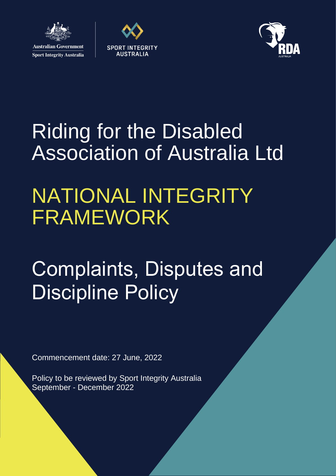

**Sport Integrity Australia** 





# Riding for the Disabled Association of Australia Ltd

## NATIONAL INTEGRITY FRAMEWORK

# Complaints, Disputes and Discipline Policy

Commencement date: 27 June, 2022

Policy to be reviewed by Sport Integrity Australia September - December 2022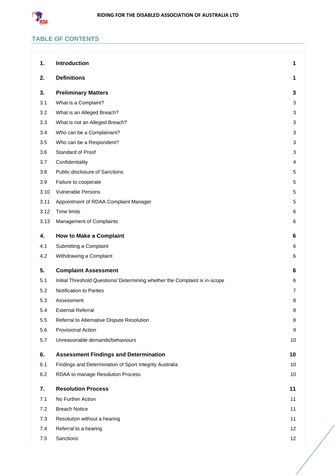

## **TABLE OF CONTENTS**

| 1.   | <b>Introduction</b>                                                        | 1              |
|------|----------------------------------------------------------------------------|----------------|
| 2.   | <b>Definitions</b>                                                         | 1              |
| 3.   | <b>Preliminary Matters</b>                                                 | 3              |
| 3.1  | What is a Complaint?                                                       | 3              |
| 3.2  | What is an Alleged Breach?                                                 | 3              |
| 3.3  | What is not an Alleged Breach?                                             | 3              |
| 3.4  | Who can be a Complainant?                                                  | 3              |
| 3.5  | Who can be a Respondent?                                                   | 3              |
| 3.6  | Standard of Proof                                                          | 3              |
| 3.7  | Confidentiality                                                            | 4              |
| 3.8  | Public disclosure of Sanctions                                             | 5              |
| 3.9  | Failure to cooperate                                                       | 5              |
| 3.10 | <b>Vulnerable Persons</b>                                                  | 5              |
| 3.11 | Appointment of RDAA Complaint Manager                                      | 5              |
| 3.12 | <b>Time limits</b>                                                         | 6              |
| 3.13 | Management of Complaints                                                   | 6              |
| 4.   | <b>How to Make a Complaint</b>                                             | 6              |
| 4.1  | Submitting a Complaint                                                     | 6              |
| 4.2  | Withdrawing a Complaint                                                    | 6              |
| 5.   | <b>Complaint Assessment</b>                                                | 6              |
| 5.1  | Initial Threshold Questions/ Determining whether the Complaint is in-scope | 6              |
| 5.2  | Notification to Parties                                                    | $\overline{7}$ |
| 5.3  | Assessment                                                                 | 8              |
| 5.4  | <b>External Referral</b>                                                   | 8              |
| 5.5  | Referral to Alternative Dispute Resolution                                 | 8              |
| 5.6  | <b>Provisional Action</b>                                                  | 9              |
| 5.7  | Unreasonable demands/behaviours                                            | 10             |
| 6.   | <b>Assessment Findings and Determination</b>                               | 10             |
| 6.1  | Findings and Determination of Sport Integrity Australia                    | 10             |
| 6.2  | RDAA to manage Resolution Process                                          | 10             |
| 7.   | <b>Resolution Process</b>                                                  | 11             |
| 7.1  | No Further Action                                                          | 11             |
| 7.2  | <b>Breach Notice</b>                                                       | 11             |
| 7.3  | Resolution without a hearing                                               | 11             |
| 7.4  | Referral to a hearing                                                      | 12             |
| 7.5  | Sanctions                                                                  | 12             |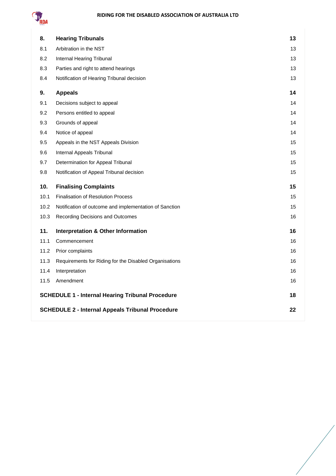

| 8.   | <b>Hearing Tribunals</b>                                      | 13 |  |
|------|---------------------------------------------------------------|----|--|
| 8.1  | Arbitration in the NST                                        | 13 |  |
| 8.2  | Internal Hearing Tribunal                                     | 13 |  |
| 8.3  | Parties and right to attend hearings                          | 13 |  |
| 8.4  | Notification of Hearing Tribunal decision                     | 13 |  |
| 9.   | <b>Appeals</b>                                                | 14 |  |
| 9.1  | Decisions subject to appeal                                   | 14 |  |
| 9.2  | Persons entitled to appeal                                    | 14 |  |
| 9.3  | Grounds of appeal                                             | 14 |  |
| 9.4  | Notice of appeal                                              | 14 |  |
| 9.5  | Appeals in the NST Appeals Division                           | 15 |  |
| 9.6  | Internal Appeals Tribunal                                     | 15 |  |
| 9.7  | Determination for Appeal Tribunal                             | 15 |  |
| 9.8  | Notification of Appeal Tribunal decision                      | 15 |  |
| 10.  | <b>Finalising Complaints</b>                                  | 15 |  |
| 10.1 | <b>Finalisation of Resolution Process</b>                     | 15 |  |
| 10.2 | Notification of outcome and implementation of Sanction        | 15 |  |
| 10.3 | Recording Decisions and Outcomes                              | 16 |  |
| 11.  | <b>Interpretation &amp; Other Information</b>                 | 16 |  |
| 11.1 | Commencement                                                  | 16 |  |
| 11.2 | Prior complaints                                              | 16 |  |
| 11.3 | Requirements for Riding for the Disabled Organisations        | 16 |  |
| 11.4 | Interpretation                                                | 16 |  |
| 11.5 | Amendment                                                     | 16 |  |
|      | <b>SCHEDULE 1 - Internal Hearing Tribunal Procedure</b>       |    |  |
|      | <b>SCHEDULE 2 - Internal Appeals Tribunal Procedure</b><br>22 |    |  |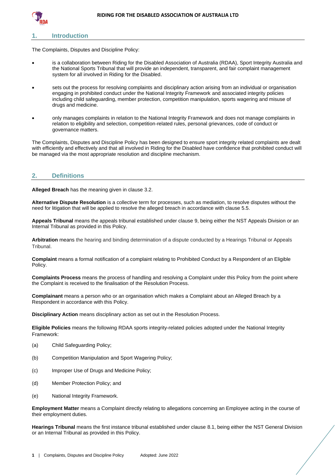

## <span id="page-3-0"></span>**1. Introduction**

The Complaints, Disputes and Discipline Policy:

- is a collaboration between Riding for the Disabled Association of Australia (RDAA), Sport Integrity Australia and the National Sports Tribunal that will provide an independent, transparent, and fair complaint management system for all involved in Riding for the Disabled.
- sets out the process for resolving complaints and disciplinary action arising from an individual or organisation engaging in prohibited conduct under the National Integrity Framework and associated integrity policies including child safeguarding, member protection, competition manipulation, sports wagering and misuse of drugs and medicine.
- only manages complaints in relation to the National Integrity Framework and does not manage complaints in relation to eligibility and selection, competition-related rules, personal grievances, code of conduct or governance matters.

The Complaints, Disputes and Discipline Policy has been designed to ensure sport integrity related complaints are dealt with efficiently and effectively and that all involved in Riding for the Disabled have confidence that prohibited conduct will be managed via the most appropriate resolution and discipline mechanism.

## <span id="page-3-1"></span>**2. Definitions**

**Alleged Breach** has the meaning given in clause [3.2.](#page-5-2)

**Alternative Dispute Resolution** is a collective term for processes, such as mediation, to resolve disputes without the need for litigation that will be applied to resolve the alleged breach in accordance with clause [5.5.](#page-10-2)

**Appeals Tribunal** means the appeals tribunal established under clause [9,](#page-16-0) being either the NST Appeals Division or an Internal Tribunal as provided in this Policy.

**Arbitration** means the hearing and binding determination of a dispute conducted by a Hearings Tribunal or Appeals Tribunal.

**Complaint** means a formal notification of a complaint relating to Prohibited Conduct by a Respondent of an Eligible Policy.

**Complaints Process** means the process of handling and resolving a Complaint under this Policy from the point where the Complaint is received to the finalisation of the Resolution Process.

**Complainant** means a person who or an organisation which makes a Complaint about an Alleged Breach by a Respondent in accordance with this Policy.

**Disciplinary Action** means disciplinary action as set out in the Resolution Process.

**Eligible Policies** means the following RDAA sports integrity-related policies adopted under the National Integrity Framework:

- (a) Child Safeguarding Policy;
- (b) Competition Manipulation and Sport Wagering Policy;
- (c) Improper Use of Drugs and Medicine Policy;
- (d) Member Protection Policy; and
- (e) National Integrity Framework.

**Employment Matter** means a Complaint directly relating to allegations concerning an Employee acting in the course of their employment duties.

**Hearings Tribunal** means the first instance tribunal established under clause [8.1,](#page-15-1) being either the NST General Division or an Internal Tribunal as provided in this Policy.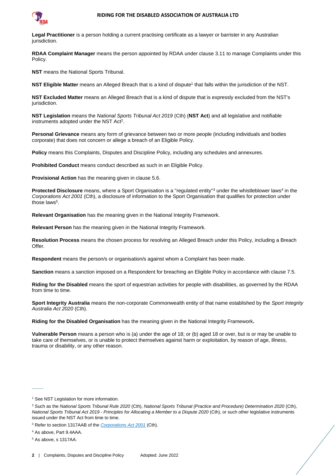

**Legal Practitioner** is a person holding a current practising certificate as a lawyer or barrister in any Australian jurisdiction.

**RDAA Complaint Manager** means the person appointed by RDAA under clause [3.11](#page-7-3) to manage Complaints under this Policy.

**NST** means the National Sports Tribunal.

**NST Eligible Matter** means an Alleged Breach that is a kind of dispute<sup>1</sup> that falls within the jurisdiction of the NST.

**NST Excluded Matter** means an Alleged Breach that is a kind of dispute that is expressly excluded from the NST's jurisdiction.

**NST Legislation** means the *National Sports Tribunal Act 2019* (Cth) (**NST Act**) and all legislative and notifiable instruments adopted under the NST Act<sup>2</sup>.

**Personal Grievance** means any form of grievance between two or more people (including individuals and bodies corporate) that does not concern or allege a breach of an Eligible Policy.

**Policy** means this Complaints, Disputes and Discipline Policy, including any schedules and annexures.

**Prohibited Conduct** means conduct described as such in an Eligible Policy.

**Provisional Action** has the meaning given in clause [5.6.](#page-11-0)

Protected Disclosure means, where a Sport Organisation is a "regulated entity"<sup>3</sup> under the whistleblower laws<sup>4</sup> in the *Corporations Act 2001* (Cth), a disclosure of information to the Sport Organisation that qualifies for protection under those laws<sup>5</sup>.

**Relevant Organisation** has the meaning given in the National Integrity Framework.

**Relevant Person** has the meaning given in the National Integrity Framework.

**Resolution Process** means the chosen process for resolving an Alleged Breach under this Policy, including a Breach Offer.

**Respondent** means the person/s or organisation/s against whom a Complaint has been made.

**Sanction** means a sanction imposed on a Respondent for breaching an Eligible Policy in accordance with clause [7.5.](#page-14-1)

**Riding for the Disabled** means the sport of equestrian activities for people with disabilities, as governed by the RDAA from time to time.

**Sport Integrity Australia** means the non-corporate Commonwealth entity of that name established by the *Sport Integrity Australia Act 2020* (Cth).

**Riding for the Disabled Organisation** has the meaning given in the National Integrity Framework**.**

**Vulnerable Person** means a person who is (a) under the age of 18; or (b) aged 18 or over, but is or may be unable to take care of themselves, or is unable to protect themselves against harm or exploitation, by reason of age, illness, trauma or disability, or any other reason.

 $\overline{\phantom{a}}$ 

<sup>&</sup>lt;sup>1</sup> See NST Legislation for more information.

<sup>2</sup> Such as the *National Sports Tribunal Rule 2020* (Cth), *National Sports Tribunal (Practice and Procedure) Determination 2020* (Cth), *National Sports Tribunal Act 2019 - Principles for Allocating a Member to a Dispute 2020* (Cth), or such other legislative instruments issued under the NST Act from time to time.

<sup>3</sup> Refer to section 1317AAB of the *[Corporations Act 2001](https://www.legislation.gov.au/Details/C2020C00093/Html/Volume_5#_Toc33706032)* (Cth).

<sup>4</sup> As above, Part 9.4AAA.

<sup>5</sup> As above, s 1317AA.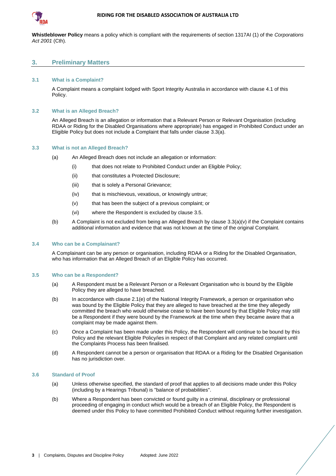

**Whistleblower Policy** means a policy which is compliant with the requirements of section 1317AI (1) of the *Corporations Act 2001* (Cth).

## <span id="page-5-0"></span>**3. Preliminary Matters**

#### <span id="page-5-1"></span>**3.1 What is a Complaint?**

A Complaint means a complaint lodged with Sport Integrity Australia in accordance with clause [4.1](#page-8-3) of this Policy.

#### <span id="page-5-2"></span>**3.2 What is an Alleged Breach?**

An Alleged Breach is an allegation or information that a Relevant Person or Relevant Organisation (including RDAA or Riding for the Disabled Organisations where appropriate) has engaged in Prohibited Conduct under an Eligible Policy but does not include a Complaint that falls under clause [3.3\(](#page-5-3)a).

#### <span id="page-5-3"></span>**3.3 What is not an Alleged Breach?**

- (a) An Alleged Breach does not include an allegation or information:
	- (i) that does not relate to Prohibited Conduct under an Eligible Policy;
	- (ii) that constitutes a Protected Disclosure;
	- (iii) that is solely a Personal Grievance;
	- (iv) that is mischievous, vexatious, or knowingly untrue;
	- (v) that has been the subject of a previous complaint; or
	- (vi) where the Respondent is excluded by clause [3.5.](#page-5-5)
- <span id="page-5-7"></span>(b) A Complaint is not excluded from being an Alleged Breach by clause [3.3](#page-5-3)[\(a\)\(v\)](#page-5-7) if the Complaint contains additional information and evidence that was not known at the time of the original Complaint.

#### <span id="page-5-4"></span>**3.4 Who can be a Complainant?**

A Complainant can be any person or organisation, including RDAA or a Riding for the Disabled Organisation, who has information that an Alleged Breach of an Eligible Policy has occurred.

## <span id="page-5-5"></span>**3.5 Who can be a Respondent?**

- (a) A Respondent must be a Relevant Person or a Relevant Organisation who is bound by the Eligible Policy they are alleged to have breached.
- (b) In accordance with clause 2.1(e) of the National Integrity Framework, a person or organisation who was bound by the Eligible Policy that they are alleged to have breached at the time they allegedly committed the breach who would otherwise cease to have been bound by that Eligible Policy may still be a Respondent if they were bound by the Framework at the time when they became aware that a complaint may be made against them.
- (c) Once a Complaint has been made under this Policy, the Respondent will continue to be bound by this Policy and the relevant Eligible Policy/ies in respect of that Complaint and any related complaint until the Complaints Process has been finalised.
- (d) A Respondent cannot be a person or organisation that RDAA or a Riding for the Disabled Organisation has no jurisdiction over.

#### <span id="page-5-6"></span>**3.6 Standard of Proof**

- (a) Unless otherwise specified, the standard of proof that applies to all decisions made under this Policy (including by a Hearings Tribunal) is "balance of probabilities".
- (b) Where a Respondent has been convicted or found guilty in a criminal, disciplinary or professional proceeding of engaging in conduct which would be a breach of an Eligible Policy, the Respondent is deemed under this Policy to have committed Prohibited Conduct without requiring further investigation.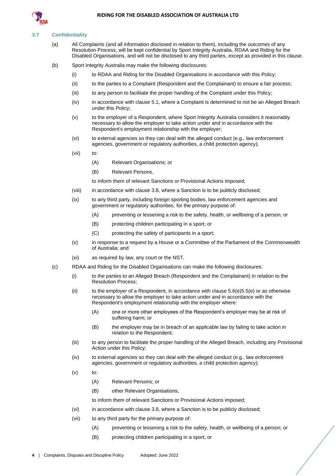

#### <span id="page-6-0"></span>**3.7 Confidentiality**

- (a) All Complaints (and all information disclosed in relation to them), including the outcomes of any Resolution Process, will be kept confidential by Sport Integrity Australia, RDAA and Riding for the Disabled Organisations, and will not be disclosed to any third parties, except as provided in this clause.
- (b) Sport Integrity Australia may make the following disclosures:
	- (i) to RDAA and Riding for the Disabled Organisations in accordance with this Policy;
	- (ii) to the parties to a Complaint (Respondent and the Complainant) to ensure a fair process;
	- (iii) to any person to facilitate the proper handling of the Complaint under this Policy;
	- (iv) in accordance with claus[e 5.1,](#page-8-6) where a Complaint is determined to not be an Alleged Breach under this Policy;
	- (v) to the employer of a Respondent, where Sport Integrity Australia considers it reasonably necessary to allow the employer to take action under and in accordance with the Respondent's employment relationship with the employer;
	- (vi) to external agencies so they can deal with the alleged conduct (e.g., law enforcement agencies, government or regulatory authorities, a child protection agency);
	- (vii) to:
		- (A) Relevant Organisations; or
		- (B) Relevant Persons,

to inform them of relevant Sanctions or Provisional Actions imposed;

- (viii) in accordance with claus[e 3.8,](#page-7-0) where a Sanction is to be publicly disclosed;
- (ix) to any third party, including foreign sporting bodies, law enforcement agencies and government or regulatory authorities, for the primary purpose of:
	- (A) preventing or lessening a risk to the safety, health, or wellbeing of a person; or
	- (B) protecting children participating in a sport; or
	- (C) protecting the safety of participants in a sport;
- (x) in response to a request by a House or a Committee of the Parliament of the Commonwealth of Australia; and
- (xi) as required by law, any court or the NST.
- (c) RDAA and Riding for the Disabled Organisations can make the following disclosures:
	- (i) to the parties to an Alleged Breach (Respondent and the Complainant) in relation to the Resolution Process;
	- (ii) to the employer of a Respondent, in accordance with clause  $5.6(e)5.5(e)$  $5.6(e)5.5(e)$  or as otherwise necessary to allow the employer to take action under and in accordance with the Respondent's employment relationship with the employer where:
		- (A) one or more other employees of the Respondent's employer may be at risk of suffering harm; or
		- (B) the employer may be in breach of an applicable law by failing to take action in relation to the Respondent;
	- (iii) to any person to facilitate the proper handling of the Alleged Breach, including any Provisional Action under this Policy;
	- (iv) to external agencies so they can deal with the alleged conduct (e.g., law enforcement agencies, government or regulatory authorities, a child protection agency);
	- $(v)$  to:
		- (A) Relevant Persons; or
		- (B) other Relevant Organisations,

to inform them of relevant Sanctions or Provisional Actions imposed;

- <span id="page-6-1"></span>(vi) in accordance with claus[e 3.8,](#page-7-0) where a Sanction is to be publicly disclosed;
- <span id="page-6-2"></span>(vii) to any third party for the primary purpose of:
	- (A) preventing or lessening a risk to the safety, health, or wellbeing of a person; or
	- (B) protecting children participating in a sport; or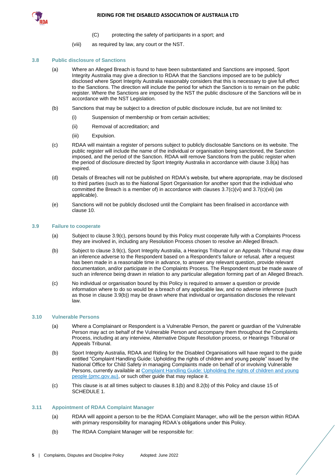



- (C) protecting the safety of participants in a sport; and
- (viii) as required by law, any court or the NST.

## <span id="page-7-4"></span><span id="page-7-0"></span>**3.8 Public disclosure of Sanctions**

- (a) Where an Alleged Breach is found to have been substantiated and Sanctions are imposed, Sport Integrity Australia may give a direction to RDAA that the Sanctions imposed are to be publicly disclosed where Sport Integrity Australia reasonably considers that this is necessary to give full effect to the Sanctions. The direction will include the period for which the Sanction is to remain on the public register. Where the Sanctions are imposed by the NST the public disclosure of the Sanctions will be in accordance with the NST Legislation.
- (b) Sanctions that may be subject to a direction of public disclosure include, but are not limited to:
	- (i) Suspension of membership or from certain activities;
	- (ii) Removal of accreditation; and
	- (iii) Expulsion.
- <span id="page-7-7"></span>(c) RDAA will maintain a register of persons subject to publicly disclosable Sanctions on its website. The public register will include the name of the individual or organisation being sanctioned, the Sanction imposed, and the period of the Sanction. RDAA will remove Sanctions from the public register when the period of disclosure directed by Sport Integrity Australia in accordance with clause [3.8](#page-7-0)[\(a\)](#page-7-4) has expired.
- (d) Details of Breaches will not be published on RDAA's website, but where appropriate, may be disclosed to third parties (such as to the National Sport Organisation for another sport that the individual who committed the Breach is a member of) in accordance with clauses  $3.7(c)(vi)$  $3.7(c)(vi)$  and  $3.7(c)(vii)$  $3.7(c)(vii)$  (as applicable).
- (e) Sanctions will not be publicly disclosed until the Complaint has been finalised in accordance with clause [10.](#page-17-4)

## <span id="page-7-1"></span>**3.9 Failure to cooperate**

- (a) Subject to clause [3.9](#page-7-1)[\(c\),](#page-7-5) persons bound by this Policy must cooperate fully with a Complaints Process they are involved in, including any Resolution Process chosen to resolve an Alleged Breach.
- <span id="page-7-6"></span>(b) Subject to clause [3.9](#page-7-1)[\(c\),](#page-7-5) Sport Integrity Australia, a Hearings Tribunal or an Appeals Tribunal may draw an inference adverse to the Respondent based on a Respondent's failure or refusal, after a request has been made in a reasonable time in advance, to answer any relevant question, provide relevant documentation, and/or participate in the Complaints Process. The Respondent must be made aware of such an inference being drawn in relation to any particular allegation forming part of an Alleged Breach.
- <span id="page-7-5"></span>(c) No individual or organisation bound by this Policy is required to answer a question or provide information where to do so would be a breach of any applicable law, and no adverse inference (such as those in clause [3.9](#page-7-1)[\(b\)\)](#page-7-6) may be drawn where that individual or organisation discloses the relevant law.

## <span id="page-7-2"></span>**3.10 Vulnerable Persons**

- (a) Where a Complainant or Respondent is a Vulnerable Person, the parent or guardian of the Vulnerable Person may act on behalf of the Vulnerable Person and accompany them throughout the Complaints Process, including at any interview, Alternative Dispute Resolution process, or Hearings Tribunal or Appeals Tribunal.
- (b) Sport Integrity Australia, RDAA and Riding for the Disabled Organisations will have regard to the guide entitled "Complaint Handling Guide: Upholding the rights of children and young people" issued by the National Office for Child Safety in managing Complaints made on behalf of or involving Vulnerable Persons, currently available a[t Complaint Handling Guide: Upholding the rights of children and young](https://childsafety.pmc.gov.au/sites/default/files/2020-09/nocs-complaint-handling-guide.pdf)  [people \(pmc.gov.au\),](https://childsafety.pmc.gov.au/sites/default/files/2020-09/nocs-complaint-handling-guide.pdf) or such other guide that may replace it.
- (c) This clause is at all times subject to clauses [8.1\(b\)](#page-15-5) an[d 8.2\(b\)](#page-15-6) of this Policy and clause 15 of [SCHEDULE 1.](#page-20-0)

## <span id="page-7-3"></span>**3.11 Appointment of RDAA Complaint Manager**

- (a) RDAA will appoint a person to be the RDAA Complaint Manager, who will be the person within RDAA with primary responsibility for managing RDAA's obligations under this Policy.
- (b) The RDAA Complaint Manager will be responsible for: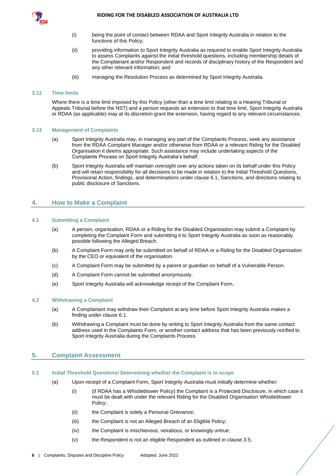

- (i) being the point of contact between RDAA and Sport Integrity Australia in relation to the functions of this Policy;
- (ii) providing information to Sport Integrity Australia as required to enable Sport Integrity Australia to assess Complaints against the initial threshold questions, including membership details of the Complainant and/or Respondent and records of disciplinary history of the Respondent and any other relevant information; and
- (iii) managing the Resolution Process as determined by Sport Integrity Australia.

## <span id="page-8-0"></span>**3.12 Time limits**

Where there is a time limit imposed by this Policy (other than a time limit relating to a Hearing Tribunal or Appeals Tribunal before the NST) and a person requests an extension to that time limit, Sport Integrity Australia or RDAA (as applicable) may at its discretion grant the extension, having regard to any relevant circumstances.

#### <span id="page-8-1"></span>**3.13 Management of Complaints**

- (a) Sport Integrity Australia may, in managing any part of the Complaints Process, seek any assistance from the RDAA Complaint Manager and/or otherwise from RDAA or a relevant Riding for the Disabled Organisation it deems appropriate. Such assistance may include undertaking aspects of the Complaints Process on Sport Integrity Australia's behalf.
- (b) Sport Integrity Australia will maintain oversight over any actions taken on its behalf under this Policy and will retain responsibility for all decisions to be made in relation to the Initial Threshold Questions, Provisional Action, findings, and determinations under clause [6.1,](#page-12-2) Sanctions, and directions relating to public disclosure of Sanctions.

## <span id="page-8-2"></span>**4. How to Make a Complaint**

#### <span id="page-8-3"></span>**4.1 Submitting a Complaint**

- (a) A person, organisation, RDAA or a Riding for the Disabled Organisation may submit a Complaint by completing the Complaint Form and submitting it to Sport Integrity Australia as soon as reasonably possible following the Alleged Breach.
- (b) A Complaint Form may only be submitted on behalf of RDAA or a Riding for the Disabled Organisation by the CEO or equivalent of the organisation.
- (c) A Complaint Form may be submitted by a parent or guardian on behalf of a Vulnerable Person.
- (d) A Complaint Form cannot be submitted anonymously.
- (e) Sport Integrity Australia will acknowledge receipt of the Complaint Form**.**

## <span id="page-8-4"></span>**4.2 Withdrawing a Complaint**

- (a) A Complainant may withdraw their Complaint at any time before Sport Integrity Australia makes a finding under claus[e 6.1.](#page-12-2)
- (b) Withdrawing a Complaint must be done by writing to Sport Integrity Australia from the same contact address used in the Complaints Form, or another contact address that has been previously notified to Sport Integrity Australia during the Complaints Process.

## <span id="page-8-5"></span>**5. Complaint Assessment**

#### <span id="page-8-7"></span><span id="page-8-6"></span>**5.1 Initial Threshold Questions/ Determining whether the Complaint is in-scope**

- <span id="page-8-8"></span>(a) Upon receipt of a Complaint Form, Sport Integrity Australia must initially determine whether:
	- (i) (if RDAA has a Whistleblower Policy) the Complaint is a Protected Disclosure, in which case it must be dealt with under the relevant Riding for the Disabled Organisation Whistleblower Policy;
	- (ii) the Complaint is solely a Personal Grievance;
	- (iii) the Complaint is not an Alleged Breach of an Eligible Policy;
	- (iv) the Complaint is mischievous, vexatious, or knowingly untrue;
	- (v) the Respondent is not an eligible Respondent as outlined in clause [3.5;](#page-5-5)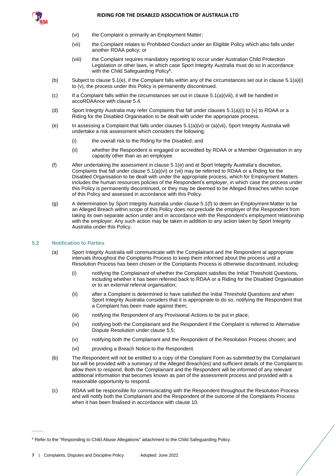<span id="page-9-4"></span><span id="page-9-3"></span>

- (vi) the Complaint is primarily an Employment Matter;
- (vii) the Complaint relates to Prohibited Conduct under an Eligible Policy which also falls under another RDAA policy; or
- (viii) the Complaint requires mandatory reporting to occur under Australian Child Protection Legislation or other laws, in which case Sport Integrity Australia must do so in accordance with the Child Safeguarding Policy<sup>6</sup>.
- <span id="page-9-2"></span>(b) Subject to claus[e 5.1](#page-8-6)[\(e\),](#page-9-1) if the Complaint falls within any of the circumstances set out in clause [5.1\(a\)\(i\)](#page-8-7) t[o \(v\),](#page-8-8) the process under this Policy is permanently discontinued.
- $(c)$  If a Complaint falls within the circumstances set out in clause  $5.1(a)(viii)$ , it will be handled in accoRDAAnce with claus[e 5.4.](#page-10-1)
- (d) Sport Integrity Australia may refer Complaints that fall under clauses [5.1\(a\)\(i\)](#page-8-7) t[o \(v\)](#page-8-8) to RDAA or a Riding for the Disabled Organisation to be dealt with under the appropriate process.
- <span id="page-9-1"></span>(e) In assessing a Complaint that falls under clauses  $5.1(a)(vi)$  $5.1(a)(vi)$  or  $(a)(vii)$ , Sport Integrity Australia will undertake a risk assessment which considers the following:
	- (i) the overall risk to the Riding for the Disabled; and
	- (ii) whether the Respondent is engaged or accredited by RDAA or a Member Organisation in any capacity other than as an employee.
- <span id="page-9-5"></span>(f) After undertaking the assessment in clause [5.1](#page-8-6)[\(e\)](#page-9-1) and at Sport Integrity Australia's discretion, Complaints that fall under claus[e 5.1\(a\)\(vi\)](#page-9-3) o[r \(vii\)](#page-9-4) may be referred to RDAA or a Riding for the Disabled Organisation to be dealt with under the appropriate process, which for Employment Matters includes the human resources policies of the Respondent's employer, in which case the process under this Policy is permanently discontinued, or they may be deemed to be Alleged Breaches within scope of this Policy and assessed in accordance with this Policy.
- (g) A determination by Sport Integrity Australia under clause [5.1](#page-8-6)[\(f\)](#page-9-5) to deem an Employment Matter to be an Alleged Breach within scope of this Policy does not preclude the employer of the Respondent from taking its own separate action under and in accordance with the Respondent's employment relationship with the employer. Any such action may be taken in addition to any action taken by Sport Integrity Australia under this Policy.

## <span id="page-9-0"></span>**5.2 Notification to Parties**

 $\overline{\phantom{a}}$ 

- (a) Sport Integrity Australia will communicate with the Complainant and the Respondent at appropriate intervals throughout the Complaints Process to keep them informed about the process until a Resolution Process has been chosen or the Complaints Process is otherwise discontinued, including:
	- (i) notifying the Complainant of whether the Complaint satisfies the Initial Threshold Questions, including whether it has been referred back to RDAA or a Riding for the Disabled Organisation or to an external referral organisation;
	- (ii) after a Complaint is determined to have satisfied the Initial Threshold Questions and when Sport Integrity Australia considers that it is appropriate to do so, notifying the Respondent that a Complaint has been made against them;
	- (iii) notifying the Respondent of any Provisional Actions to be put in place;
	- (iv) notifying both the Complainant and the Respondent if the Complaint is referred to Alternative Dispute Resolution under clause [5.5;](#page-10-2)
	- (v) notifying both the Complainant and the Respondent of the Resolution Process chosen; and
	- (vi) providing a Breach Notice to the Respondent.
- (b) The Respondent will not be entitled to a copy of the Complaint Form as submitted by the Complainant but will be provided with a summary of the Alleged Breach(es) and sufficient details of the Complaint to allow them to respond. Both the Complainant and the Respondent will be informed of any relevant additional information that becomes known as part of the assessment process and provided with a reasonable opportunity to respond.
- (c) RDAA will be responsible for communicating with the Respondent throughout the Resolution Process and will notify both the Complainant and the Respondent of the outcome of the Complaints Process when it has been finalised in accordance with clause [10.](#page-17-4)

<sup>6</sup> Refer to the "Responding to Child Abuse Allegations" attachment to the Child Safeguarding Policy.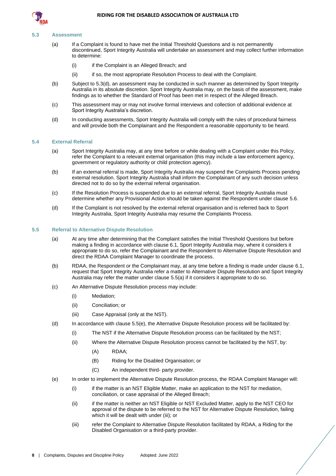

#### <span id="page-10-0"></span>**5.3 Assessment**

- (a) If a Complaint is found to have met the Initial Threshold Questions and is not permanently discontinued, Sport Integrity Australia will undertake an assessment and may collect further information to determine:
	- (i) if the Complaint is an Alleged Breach; and
	- (ii) if so, the most appropriate Resolution Process to deal with the Complaint.
- (b) Subject to [5.3](#page-10-0)[\(d\),](#page-10-4) an assessment may be conducted in such manner as determined by Sport Integrity Australia in its absolute discretion. Sport Integrity Australia may, on the basis of the assessment, make findings as to whether the Standard of Proof has been met in respect of the Alleged Breach.
- (c) This assessment may or may not involve formal interviews and collection of additional evidence at Sport Integrity Australia's discretion.
- <span id="page-10-4"></span>(d) In conducting assessments, Sport Integrity Australia will comply with the rules of procedural fairness and will provide both the Complainant and the Respondent a reasonable opportunity to be heard.

#### <span id="page-10-1"></span>**5.4 External Referral**

- (a) Sport Integrity Australia may, at any time before or while dealing with a Complaint under this Policy, refer the Complaint to a relevant external organisation (this may include a law enforcement agency, government or regulatory authority or child protection agency).
- (b) If an external referral is made, Sport Integrity Australia may suspend the Complaints Process pending external resolution. Sport Integrity Australia shall inform the Complainant of any such decision unless directed not to do so by the external referral organisation.
- (c) If the Resolution Process is suspended due to an external referral, Sport Integrity Australia must determine whether any Provisional Action should be taken against the Respondent under clause [5.6.](#page-11-0)
- (d) If the Complaint is not resolved by the external referral organisation and is referred back to Sport Integrity Australia, Sport Integrity Australia may resume the Complaints Process.

#### <span id="page-10-5"></span><span id="page-10-2"></span>**5.5 Referral to Alternative Dispute Resolution**

- (a) At any time after determining that the Complaint satisfies the Initial Threshold Questions but before making a finding in accordance with clause 6.1, Sport Integrity Australia may, where it considers it appropriate to do so, refer the Complainant and the Respondent to Alternative Dispute Resolution and direct the RDAA Complaint Manager to coordinate the process.
- (b) RDAA, the Respondent or the Complainant may, at any time before a finding is made under clause [6.1,](#page-12-2) request that Sport Integrity Australia refer a matter to Alternative Dispute Resolution and Sport Integrity Australia may refer the matter under claus[e 5.5\(a\)](#page-10-5) if it considers it appropriate to do so.
- (c) An Alternative Dispute Resolution process may include:
	- (i) Mediation;
	- (ii) Conciliation; or
	- (iii) Case Appraisal (only at the NST).
- (d) In accordance with claus[e 5.5](#page-10-2)[\(e\),](#page-10-3) the Alternative Dispute Resolution process will be facilitated by:
	- (i) The NST if the Alternative Dispute Resolution process can be facilitated by the NST;
	- (ii) Where the Alternative Dispute Resolution process cannot be facilitated by the NST, by:
		- (A) RDAA;
		- (B) Riding for the Disabled Organisation; or
		- (C) An independent third- party provider.
- <span id="page-10-3"></span>(e) In order to implement the Alternative Dispute Resolution process, the RDAA Complaint Manager will:
	- (i) if the matter is an NST Eligible Matter, make an application to the NST for mediation, conciliation, or case appraisal of the Alleged Breach;
	- (ii) if the matter is neither an NST Eligible or NST Excluded Matter, apply to the NST CEO for approval of the dispute to be referred to the NST for Alternative Dispute Resolution, failing which it will be dealt with under (iii); or
	- (iii) refer the Complaint to Alternative Dispute Resolution facilitated by RDAA, a Riding for the Disabled Organisation or a third-party provider.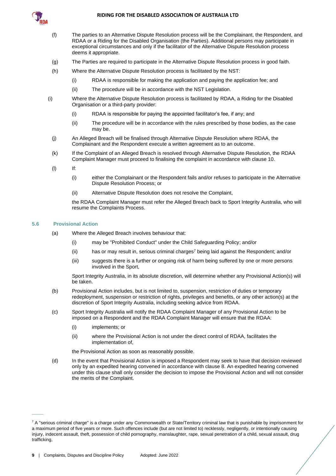

- (f) The parties to an Alternative Dispute Resolution process will be the Complainant, the Respondent, and RDAA or a Riding for the Disabled Organisation (the Parties). Additional persons may participate in exceptional circumstances and only if the facilitator of the Alternative Dispute Resolution process deems it appropriate.
- (g) The Parties are required to participate in the Alternative Dispute Resolution process in good faith.
- (h) Where the Alternative Dispute Resolution process is facilitated by the NST:
	- (i) RDAA is responsible for making the application and paying the application fee; and
	- (ii) The procedure will be in accordance with the NST Legislation.
- (i) Where the Alternative Dispute Resolution process is facilitated by RDAA, a Riding for the Disabled Organisation or a third-party provider:
	- (i) RDAA is responsible for paying the appointed facilitator's fee, if any; and
	- (ii) The procedure will be in accordance with the rules prescribed by those bodies, as the case may be.
	- (j) An Alleged Breach will be finalised through Alternative Dispute Resolution where RDAA, the Complainant and the Respondent execute a written agreement as to an outcome.
	- (k) If the Complaint of an Alleged Breach is resolved through Alternative Dispute Resolution, the RDAA Complaint Manager must proceed to finalising the complaint in accordance with clause [10.](#page-17-4)
	- (l) If:
		- (i) either the Complainant or the Respondent fails and/or refuses to participate in the Alternative Dispute Resolution Process; or
		- (ii) Alternative Dispute Resolution does not resolve the Complaint,

the RDAA Complaint Manager must refer the Alleged Breach back to Sport Integrity Australia, who will resume the Complaints Process.

## **5.6 Provisional Action**

 $\overline{\phantom{a}}$ 

- <span id="page-11-0"></span>(a) Where the Alleged Breach involves behaviour that:
	- (i) may be "Prohibited Conduct" under the Child Safeguarding Policy; and/or
	- (ii) has or may result in, serious criminal charges<sup>7</sup> being laid against the Respondent; and/or
	- (iii) suggests there is a further or ongoing risk of harm being suffered by one or more persons involved in the Sport,

Sport Integrity Australia, in its absolute discretion, will determine whether any Provisional Action(s) will be taken.

- (b) Provisional Action includes, but is not limited to, suspension, restriction of duties or temporary redeployment, suspension or restriction of rights, privileges and benefits, or any other action(s) at the discretion of Sport Integrity Australia, including seeking advice from RDAA.
- (c) Sport Integrity Australia will notify the RDAA Complaint Manager of any Provisional Action to be imposed on a Respondent and the RDAA Complaint Manager will ensure that the RDAA:
	- (i) implements; or
	- (ii) where the Provisional Action is not under the direct control of RDAA, facilitates the implementation of,

the Provisional Action as soon as reasonably possible.

(d) In the event that Provisional Action is imposed a Respondent may seek to have that decision reviewed only by an expedited hearing convened in accordance with clause 8. An expedited hearing convened under this clause shall only consider the decision to impose the Provisional Action and will not consider the merits of the Complaint.

 $7$  A "serious criminal charge" is a charge under any Commonwealth or State/Territory criminal law that is punishable by imprisonment for a maximum period of five years or more. Such offences include (but are not limited to) recklessly, negligently, or intentionally causing injury, indecent assault, theft, possession of child pornography, manslaughter, rape, sexual penetration of a child, sexual assault, drug trafficking,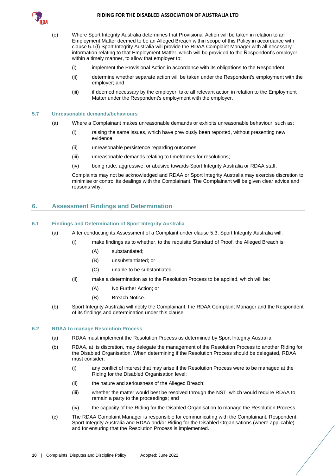

- <span id="page-12-4"></span>(e) Where Sport Integrity Australia determines that Provisional Action will be taken in relation to an Employment Matter deemed to be an Alleged Breach within scope of this Policy in accordance with clause [5.1\(f\)](#page-9-5) Sport Integrity Australia will provide the RDAA Complaint Manager with all necessary information relating to that Employment Matter, which will be provided to the Respondent's employer within a timely manner, to allow that employer to:
	- (i) implement the Provisional Action in accordance with its obligations to the Respondent;
	- (ii) determine whether separate action will be taken under the Respondent's employment with the employer; and
	- (iii) if deemed necessary by the employer, take all relevant action in relation to the Employment Matter under the Respondent's employment with the employer.

## <span id="page-12-0"></span>**5.7 Unreasonable demands/behaviours**

- (a) Where a Complainant makes unreasonable demands or exhibits unreasonable behaviour, such as:
	- (i) raising the same issues, which have previously been reported, without presenting new evidence;
	- (ii) unreasonable persistence regarding outcomes;
	- (iii) unreasonable demands relating to timeframes for resolutions;
	- (iv) being rude, aggressive, or abusive towards Sport Integrity Australia or RDAA staff,

Complaints may not be acknowledged and RDAA or Sport Integrity Australia may exercise discretion to minimise or control its dealings with the Complainant. The Complainant will be given clear advice and reasons why.

## <span id="page-12-1"></span>**6. Assessment Findings and Determination**

## <span id="page-12-2"></span>**6.1 Findings and Determination of Sport Integrity Australia**

- (a) After conducting its Assessment of a Complaint under claus[e 5.3,](#page-10-0) Sport Integrity Australia will:
	- (i) make findings as to whether, to the requisite Standard of Proof, the Alleged Breach is:
		- (A) substantiated;
		- (B) unsubstantiated; or
		- (C) unable to be substantiated.
		- (ii) make a determination as to the Resolution Process to be applied, which will be:
			- (A) No Further Action; or
			- (B) Breach Notice.
- <span id="page-12-6"></span><span id="page-12-5"></span>(b) Sport Integrity Australia will notify the Complainant, the RDAA Complaint Manager and the Respondent of its findings and determination under this clause.

#### <span id="page-12-7"></span><span id="page-12-3"></span>**6.2 RDAA to manage Resolution Process**

- (a) RDAA must implement the Resolution Process as determined by Sport Integrity Australia.
- (b) RDAA, at its discretion, may delegate the management of the Resolution Process to another Riding for the Disabled Organisation. When determining if the Resolution Process should be delegated, RDAA must consider:
	- (i) any conflict of interest that may arise if the Resolution Process were to be managed at the Riding for the Disabled Organisation level;
	- (ii) the nature and seriousness of the Alleged Breach;
	- (iii) whether the matter would best be resolved through the NST, which would require RDAA to remain a party to the proceedings; and
	- (iv) the capacity of the Riding for the Disabled Organisation to manage the Resolution Process.
- (c) The RDAA Complaint Manager is responsible for communicating with the Complainant, Respondent, Sport Integrity Australia and RDAA and/or Riding for the Disabled Organisations (where applicable) and for ensuring that the Resolution Process is implemented.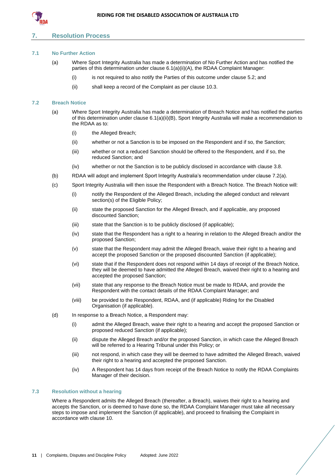

## <span id="page-13-0"></span>**7. Resolution Process**

## <span id="page-13-1"></span>**7.1 No Further Action**

- (a) Where Sport Integrity Australia has made a determination of No Further Action and has notified the parties of this determination under claus[e 6.1\(a\)\(ii\)\(A\),](#page-12-5) the RDAA Complaint Manager:
	- (i) is not required to also notify the Parties of this outcome under claus[e 5.2;](#page-9-0) and
	- (ii) shall keep a record of the Complaint as per clause [10.3.](#page-18-0)

#### <span id="page-13-4"></span><span id="page-13-2"></span>**7.2 Breach Notice**

- (a) Where Sport Integrity Australia has made a determination of Breach Notice and has notified the parties of this determination under clause [6.1\(a\)\(ii\)\(B\),](#page-12-6) Sport Integrity Australia will make a recommendation to the RDAA as to:
	- (i) the Alleged Breach;
	- (ii) whether or not a Sanction is to be imposed on the Respondent and if so, the Sanction;
	- (iii) whether or not a reduced Sanction should be offered to the Respondent, and if so, the reduced Sanction; and
	- (iv) whether or not the Sanction is to be publicly disclosed in accordance with clause [3.8.](#page-7-0)
- (b) RDAA will adopt and implement Sport Integrity Australia's recommendation under clause [7.2\(a\).](#page-13-4)
- (c) Sport Integrity Australia will then issue the Respondent with a Breach Notice. The Breach Notice will:
	- (i) notify the Respondent of the Alleged Breach, including the alleged conduct and relevant section(s) of the Eligible Policy;
	- (ii) state the proposed Sanction for the Alleged Breach, and if applicable, any proposed discounted Sanction;
	- (iii) state that the Sanction is to be publicly disclosed (if applicable);
	- (iv) state that the Respondent has a right to a hearing in relation to the Alleged Breach and/or the proposed Sanction;
	- (v) state that the Respondent may admit the Alleged Breach, waive their right to a hearing and accept the proposed Sanction or the proposed discounted Sanction (if applicable);
	- (vi) state that if the Respondent does not respond within 14 days of receipt of the Breach Notice, they will be deemed to have admitted the Alleged Breach, waived their right to a hearing and accepted the proposed Sanction;
	- (vii) state that any response to the Breach Notice must be made to RDAA, and provide the Respondent with the contact details of the RDAA Complaint Manager; and
	- (viii) be provided to the Respondent, RDAA, and (if applicable) Riding for the Disabled Organisation (if applicable).
- <span id="page-13-5"></span>(d) In response to a Breach Notice, a Respondent may:
	- (i) admit the Alleged Breach, waive their right to a hearing and accept the proposed Sanction or proposed reduced Sanction (if applicable);
	- (ii) dispute the Alleged Breach and/or the proposed Sanction, in which case the Alleged Breach will be referred to a Hearing Tribunal under this Policy; or
	- (iii) not respond, in which case they will be deemed to have admitted the Alleged Breach, waived their right to a hearing and accepted the proposed Sanction.
	- (iv) A Respondent has 14 days from receipt of the Breach Notice to notify the RDAA Complaints Manager of their decision.

#### <span id="page-13-3"></span>**7.3 Resolution without a hearing**

Where a Respondent admits the Alleged Breach (thereafter, a Breach), waives their right to a hearing and accepts the Sanction, or is deemed to have done so, the RDAA Complaint Manager must take all necessary steps to impose and implement the Sanction (if applicable), and proceed to finalising the Complaint in accordance with clause [10.](#page-17-4)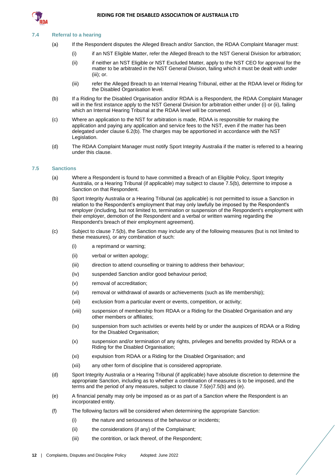

#### <span id="page-14-0"></span>**7.4 Referral to a hearing**

- (a) If the Respondent disputes the Alleged Breach and/or Sanction, the RDAA Complaint Manager must:
	- (i) if an NST Eligible Matter, refer the Alleged Breach to the NST General Division for arbitration;
	- (ii) if neither an NST Eligible or NST Excluded Matter, apply to the NST CEO for approval for the matter to be arbitrated in the NST General Division, failing which it must be dealt with under (iii); or.
	- (iii) refer the Alleged Breach to an Internal Hearing Tribunal, either at the RDAA level or Riding for the Disabled Organisation level.
- (b) If a Riding for the Disabled Organisation and/or RDAA is a Respondent, the RDAA Complaint Manager will in the first instance apply to the NST General Division for arbitration either under (i) or (ii), failing which an Internal Hearing Tribunal at the RDAA level will be convened.
- (c) Where an application to the NST for arbitration is made, RDAA is responsible for making the application and paying any application and service fees to the NST, even if the matter has been delegated under claus[e 6.2\(b\).](#page-12-7) The charges may be apportioned in accordance with the NST Legislation.
- (d) The RDAA Complaint Manager must notify Sport Integrity Australia if the matter is referred to a hearing under this clause.

#### <span id="page-14-1"></span>**7.5 Sanctions**

- (a) Where a Respondent is found to have committed a Breach of an Eligible Policy, Sport Integrity Australia, or a Hearing Tribunal (if applicable) may subject to claus[e 7.5](#page-14-1)[\(b\),](#page-14-2) determine to impose a Sanction on that Respondent.
- <span id="page-14-2"></span>(b) Sport Integrity Australia or a Hearing Tribunal (as applicable) is not permitted to issue a Sanction in relation to the Respondent's employment that may only lawfully be imposed by the Respondent's employer (including, but not limited to, termination or suspension of the Respondent's employment with their employer, demotion of the Respondent and a verbal or written warning regarding the Respondent's breach of their employment agreement).
- (c) Subject to claus[e 7.5](#page-14-1)[\(b\),](#page-14-2) the Sanction may include any of the following measures (but is not limited to these measures), or any combination of such:
	- (i) a reprimand or warning;
	- (ii) verbal or written apology;
	- (iii) direction to attend counselling or training to address their behaviour;
	- (iv) suspended Sanction and/or good behaviour period;
	- (v) removal of accreditation;
	- (vi) removal or withdrawal of awards or achievements (such as life membership);
	- (vii) exclusion from a particular event or events, competition, or activity;
	- (viii) suspension of membership from RDAA or a Riding for the Disabled Organisation and any other members or affiliates;
	- (ix) suspension from such activities or events held by or under the auspices of RDAA or a Riding for the Disabled Organisation;
	- (x) suspension and/or termination of any rights, privileges and benefits provided by RDAA or a Riding for the Disabled Organisation;
	- (xi) expulsion from RDAA or a Riding for the Disabled Organisation; and
	- (xii) any other form of discipline that is considered appropriate.
- (d) Sport Integrity Australia or a Hearing Tribunal (if applicable) have absolute discretion to determine the appropriate Sanction, including as to whether a combination of measures is to be imposed, and the terms and the period of any measures, subject to claus[e 7.5\(e\)](#page-14-3)[7.5](#page-14-1)[\(b\)](#page-14-2) and [\(e\).](#page-14-3)
- <span id="page-14-3"></span>(e) A financial penalty may only be imposed as or as part of a Sanction where the Respondent is an incorporated entity.
- (f) The following factors will be considered when determining the appropriate Sanction:
	- (i) the nature and seriousness of the behaviour or incidents;
	- (ii) the considerations (if any) of the Complainant;
	- (iii) the contrition, or lack thereof, of the Respondent;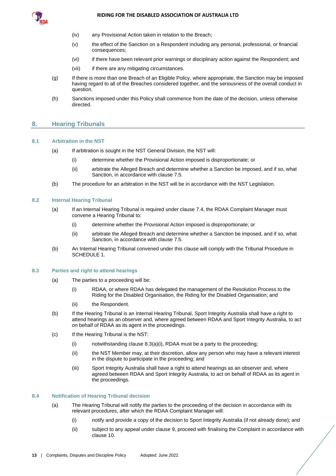

- (iv) any Provisional Action taken in relation to the Breach;
- (v) the effect of the Sanction on a Respondent including any personal, professional, or financial consequences;
- (vi) if there have been relevant prior warnings or disciplinary action against the Respondent; and
- (vii) if there are any mitigating circumstances.
- (g) If there is more than one Breach of an Eligible Policy, where appropriate, the Sanction may be imposed having regard to all of the Breaches considered together, and the seriousness of the overall conduct in question.
- (h) Sanctions imposed under this Policy shall commence from the date of the decision, unless otherwise directed.

## <span id="page-15-0"></span>**8. Hearing Tribunals**

#### <span id="page-15-10"></span><span id="page-15-1"></span>**8.1 Arbitration in the NST**

- (a) If arbitration is sought in the NST General Division, the NST will:
	- (i) determine whether the Provisional Action imposed is disproportionate; or
	- (ii) arbitrate the Alleged Breach and determine whether a Sanction be imposed, and if so, what Sanction, in accordance with claus[e 7.5.](#page-14-1)
- <span id="page-15-8"></span>(b) The procedure for an arbitration in the NST will be in accordance with the NST Legislation.

## <span id="page-15-11"></span><span id="page-15-5"></span><span id="page-15-2"></span>**8.2 Internal Hearing Tribunal**

- (a) If an Internal Hearing Tribunal is required under claus[e 7.4,](#page-14-0) the RDAA Complaint Manager must convene a Hearing Tribunal to:
	- (i) determine whether the Provisional Action imposed is disproportionate; or
	- (ii) arbitrate the Alleged Breach and determine whether a Sanction be imposed, and if so, what Sanction, in accordance with claus[e 7.5.](#page-14-1)
- <span id="page-15-9"></span><span id="page-15-6"></span>(b) An Internal Hearing Tribunal convened under this clause will comply with the Tribunal Procedure in [SCHEDULE 1.](#page-20-0)

#### <span id="page-15-7"></span><span id="page-15-3"></span>**8.3 Parties and right to attend hearings**

- (a) The parties to a proceeding will be:
	- (i) RDAA, or where RDAA has delegated the management of the Resolution Process to the Riding for the Disabled Organisation, the Riding for the Disabled Organisation; and
	- (ii) the Respondent.
- (b) If the Hearing Tribunal is an Internal Hearing Tribunal, Sport Integrity Australia shall have a right to attend hearings as an observer and, where agreed between RDAA and Sport Integrity Australia, to act on behalf of RDAA as its agent in the proceedings.
- (c) If the Hearing Tribunal is the NST:
	- $(i)$  notwithstanding clause  $8.3(a)(i)$ , RDAA must be a party to the proceeding:
	- (ii) the NST Member may, at their discretion, allow any person who may have a relevant interest in the dispute to participate in the proceeding; and
	- (iii) Sport Integrity Australia shall have a right to attend hearings as an observer and, where agreed between RDAA and Sport Integrity Australia, to act on behalf of RDAA as its agent in the proceedings.

#### <span id="page-15-4"></span>**8.4 Notification of Hearing Tribunal decision**

- (a) The Hearing Tribunal will notify the parties to the proceeding of the decision in accordance with its relevant procedures, after which the RDAA Complaint Manager will:
	- (i) notify and provide a copy of the decision to Sport Integrity Australia (if not already done); and
	- (ii) subject to any appeal under claus[e 9,](#page-16-0) proceed with finalising the Complaint in accordance with claus[e 10.](#page-17-4)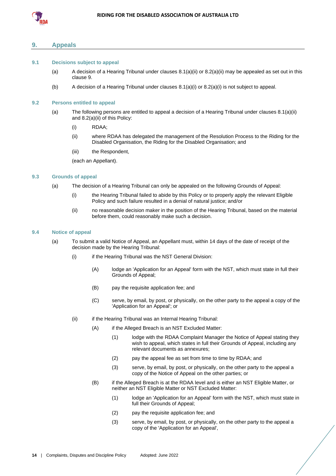

## <span id="page-16-0"></span>**9. Appeals**

#### <span id="page-16-1"></span>**9.1 Decisions subject to appeal**

- (a) A decision of a Hearing Tribunal under clauses  $8.1(a)(ii)$  or  $8.2(a)(ii)$  may be appealed as set out in this clause [9.](#page-16-0)
- (b) A decision of a Hearing Tribunal under clause[s 8.1\(a\)\(i\)](#page-15-10) or [8.2\(a\)\(i\)](#page-15-11) is not subject to appeal.

#### <span id="page-16-2"></span>**9.2 Persons entitled to appeal**

- (a) The following persons are entitled to appeal a decision of a Hearing Tribunal under clauses [8.1\(a\)\(ii\)](#page-15-8) and [8.2\(a\)\(ii\)](#page-15-9) of this Policy:
	- (i) RDAA;
	- (ii) where RDAA has delegated the management of the Resolution Process to the Riding for the Disabled Organisation, the Riding for the Disabled Organisation; and
	- (iii) the Respondent,

(each an Appellant).

## <span id="page-16-7"></span><span id="page-16-3"></span>**9.3 Grounds of appeal**

- (a) The decision of a Hearing Tribunal can only be appealed on the following Grounds of Appeal:
	- (i) the Hearing Tribunal failed to abide by this Policy or to properly apply the relevant Eligible Policy and such failure resulted in a denial of natural justice; and/or
	- (ii) no reasonable decision maker in the position of the Hearing Tribunal, based on the material before them, could reasonably make such a decision.

## <span id="page-16-4"></span>**9.4 Notice of appeal**

- <span id="page-16-6"></span><span id="page-16-5"></span>(a) To submit a valid Notice of Appeal, an Appellant must, within 14 days of the date of receipt of the decision made by the Hearing Tribunal:
	- (i) if the Hearing Tribunal was the NST General Division:
		- (A) lodge an 'Application for an Appeal' form with the NST, which must state in full their Grounds of Appeal;
		- (B) pay the requisite application fee; and
		- (C) serve, by email, by post, or physically, on the other party to the appeal a copy of the 'Application for an Appeal'; or
	- (ii) if the Hearing Tribunal was an Internal Hearing Tribunal:
		- (A) if the Alleged Breach is an NST Excluded Matter:
			- (1) lodge with the RDAA Complaint Manager the Notice of Appeal stating they wish to appeal, which states in full their Grounds of Appeal, including any relevant documents as annexures;
			- (2) pay the appeal fee as set from time to time by RDAA; and
			- (3) serve, by email, by post, or physically, on the other party to the appeal a copy of the Notice of Appeal on the other parties; or
		- (B) if the Alleged Breach is at the RDAA level and is either an NST Eligible Matter, or neither an NST Eligible Matter or NST Excluded Matter:
			- (1) lodge an 'Application for an Appeal' form with the NST, which must state in full their Grounds of Appeal;
			- (2) pay the requisite application fee; and
			- (3) serve, by email, by post, or physically, on the other party to the appeal a copy of the 'Application for an Appeal',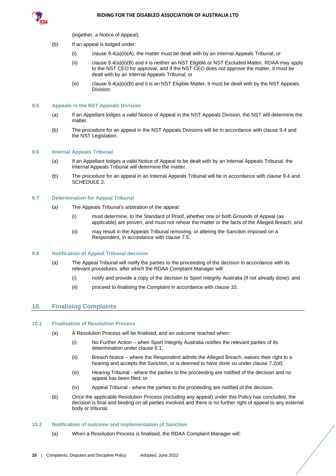

(together, a Notice of Appeal).

- (b) If an appeal is lodged under:
	- $(i)$  claus[e 9.4\(a\)\(ii\)\(A\),](#page-16-5) the matter must be dealt with by an Internal Appeals Tribunal; or
	- (ii) claus[e 9.4\(a\)\(ii\)\(B\)](#page-16-6) and it is neither an NST Eligible or NST Excluded Matter, RDAA may apply to the NST CEO for approval, and if the NST CEO does not approve the matter, it must be dealt with by an Internal Appeals Tribunal; or
	- (iii) claus[e 9.4\(a\)\(ii\)\(B\)](#page-16-6) and it is an NST Eligible Matter, it must be dealt with by the NST Appeals Division.

#### <span id="page-17-0"></span>**9.5 Appeals in the NST Appeals Division**

- (a) If an Appellant lodges a valid Notice of Appeal in the NST Appeals Division, the NST will determine the matter.
- (b) The procedure for an appeal in the NST Appeals Divisions will be in accordance with clause [9.4](#page-16-4) and the NST Legislation.

#### <span id="page-17-1"></span>**9.6 Internal Appeals Tribunal**

- (a) If an Appellant lodges a valid Notice of Appeal to be dealt with by an Internal Appeals Tribunal, the Internal Appeals Tribunal will determine the matter.
- (b) The procedure for an appeal in an Internal Appeals Tribunal will be in accordance with clause [9.4](#page-16-4) and [SCHEDULE 2.](#page-24-0)

#### <span id="page-17-2"></span>**9.7 Determination for Appeal Tribunal**

- (a) The Appeals Tribunal's arbitration of the appeal:
	- (i) must determine, to the Standard of Proof, whether one or both Grounds of Appeal (as applicable) are proven, and must not rehear the matter or the facts of the Alleged Breach; and
	- (ii) may result in the Appeals Tribunal removing, or altering the Sanction imposed on a Respondent, in accordance with clause [7.5.](#page-14-1)

#### <span id="page-17-3"></span>**9.8 Notification of Appeal Tribunal decision**

- (a) The Appeal Tribunal will notify the parties to the proceeding of the decision in accordance with its relevant procedures, after which the RDAA Complaint Manager will:
	- (i) notify and provide a copy of the decision to Sport Integrity Australia (if not already done); and
	- (ii) proceed to finalising the Complaint in accordance with clause [10.](#page-17-4)

## <span id="page-17-4"></span>**10. Finalising Complaints**

#### <span id="page-17-5"></span>**10.1 Finalisation of Resolution Process**

- (a) A Resolution Process will be finalised, and an outcome reached when:
	- (i) No Further Action when Sport Integrity Australia notifies the relevant parties of its determination under clause [6.1;](#page-12-2)
	- (ii) Breach Notice where the Respondent admits the Alleged Breach, waives their right to a hearing and accepts the Sanction, or is deemed to have done so under clause [7.2\(d\);](#page-13-5)
	- (iii) Hearing Tribunal where the parties to the proceeding are notified of the decision and no appeal has been filed; or
	- (iv) Appeal Tribunal where the parties to the proceeding are notified of the decision.
- (b) Once the applicable Resolution Process (including any appeal) under this Policy has concluded, the decision is final and binding on all parties involved and there is no further right of appeal to any external body or tribunal.

#### <span id="page-17-6"></span>**10.2 Notification of outcome and implementation of Sanction**

(a) When a Resolution Process is finalised, the RDAA Complaint Manager will: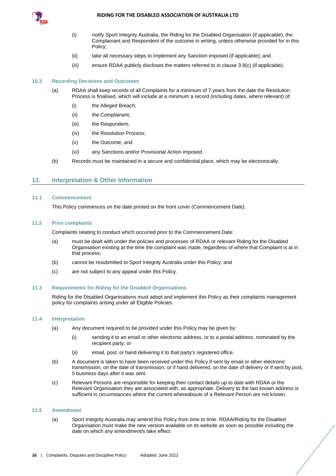

- (i) notify Sport Integrity Australia, the Riding for the Disabled Organisation (if applicable), the Complainant and Respondent of the outcome in writing, unless otherwise provided for in this Policy;
- (ii) take all necessary steps to implement any Sanction imposed (if applicable); and
- (iii) ensure RDAA publicly discloses the matters referred to in clause [3.8](#page-7-0)[\(c\)](#page-7-7) (if applicable).

#### <span id="page-18-0"></span>**10.3 Recording Decisions and Outcomes**

- (a) RDAA shall keep records of all Complaints for a minimum of 7 years from the date the Resolution Process is finalised, which will include at a minimum a record (including dates, where relevant) of:
	- (i) the Alleged Breach;
	- (ii) the Complainant;
	- (iii) the Respondent;
	- (iv) the Resolution Process;
	- (v) the Outcome; and
	- (vi) any Sanctions and/or Provisional Action imposed.
- (b) Records must be maintained in a secure and confidential place, which may be electronically.

## <span id="page-18-1"></span>**11. Interpretation & Other Information**

#### <span id="page-18-2"></span>**11.1 Commencement**

This Policy commences on the date printed on the front cover (Commencement Date).

#### <span id="page-18-3"></span>**11.2 Prior complaints**

Complaints relating to conduct which occurred prior to the Commencement Date:

- (a) must be dealt with under the policies and processes of RDAA or relevant Riding for the Disabled Organisation existing at the time the complaint was made, regardless of where that Complaint is at in that process;
- (b) cannot be resubmitted to Sport Integrity Australia under this Policy; and
- (c) are not subject to any appeal under this Policy.

## <span id="page-18-4"></span>**11.3 Requirements for Riding for the Disabled Organisations**

Riding for the Disabled Organisations must adopt and implement this Policy as their complaints management policy for complaints arising under all Eligible Policies.

## <span id="page-18-5"></span>**11.4 Interpretation**

- (a) Any document required to be provided under this Policy may be given by:
	- (i) sending it to an email or other electronic address, or to a postal address, nominated by the recipient party; or
	- (ii) email, post, or hand delivering it to that party's registered office.
- (b) A document is taken to have been received under this Policy if sent by email or other electronic transmission, on the date of transmission, or if hand delivered, on the date of delivery or if sent by post, 5 business days after it was sent.
- (c) Relevant Persons are responsible for keeping their contact details up to date with RDAA or the Relevant Organisation they are associated with, as appropriate. Delivery to the last known address is sufficient in circumstances where the current whereabouts of a Relevant Person are not known.

#### <span id="page-18-6"></span>**11.5 Amendment**

(a) Sport Integrity Australia may amend this Policy from time to time. RDAA/Riding for the Disabled Organisation must make the new version available on its website as soon as possible including the date on which any amendment/s take effect.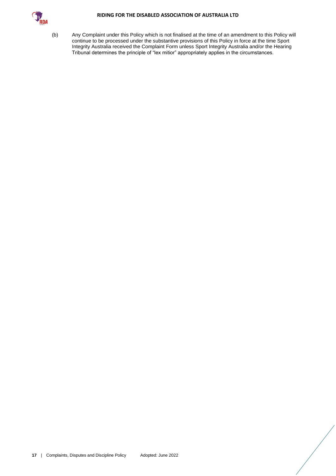

(b) Any Complaint under this Policy which is not finalised at the time of an amendment to this Policy will continue to be processed under the substantive provisions of this Policy in force at the time Sport Integrity Australia received the Complaint Form unless Sport Integrity Australia and/or the Hearing Tribunal determines the principle of "lex mitior" appropriately applies in the circumstances.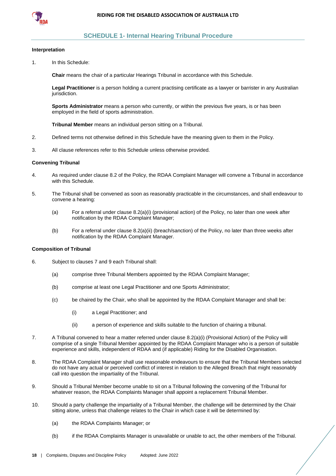

## **SCHEDULE 1- Internal Hearing Tribunal Procedure**

#### <span id="page-20-0"></span>**Interpretation**

1. In this Schedule:

**Chair** means the chair of a particular Hearings Tribunal in accordance with this Schedule.

**Legal Practitioner** is a person holding a current practising certificate as a lawyer or barrister in any Australian jurisdiction.

**Sports Administrator** means a person who currently, or within the previous five years, is or has been employed in the field of sports administration.

**Tribunal Member** means an individual person sitting on a Tribunal.

- 2. Defined terms not otherwise defined in this Schedule have the meaning given to them in the Policy.
- 3. All clause references refer to this Schedule unless otherwise provided.

#### **Convening Tribunal**

- 4. As required under claus[e 8.2](#page-15-2) of the Policy, the RDAA Complaint Manager will convene a Tribunal in accordance with this Schedule.
- 5. The Tribunal shall be convened as soon as reasonably practicable in the circumstances, and shall endeavour to convene a hearing:
	- (a) For a referral under clause [8.2\(a\)\(i\)](#page-15-11) (provisional action) of the Policy, no later than one week after notification by the RDAA Complaint Manager;
	- (b) For a referral under clause [8.2\(a\)\(ii\)](#page-15-9) (breach/sanction) of the Policy, no later than three weeks after notification by the RDAA Complaint Manager.

## **Composition of Tribunal**

- 6. Subject to clause[s 7](#page-13-0) and [9](#page-16-0) each Tribunal shall:
	- (a) comprise three Tribunal Members appointed by the RDAA Complaint Manager;
	- (b) comprise at least one Legal Practitioner and one Sports Administrator;
	- (c) be chaired by the Chair, who shall be appointed by the RDAA Complaint Manager and shall be:
		- (i) a Legal Practitioner; and
		- (ii) a person of experience and skills suitable to the function of chairing a tribunal.
- 7. A Tribunal convened to hear a matter referred under clause [8.2\(a\)\(i\)](#page-15-11) (Provisional Action) of the Policy will comprise of a single Tribunal Member appointed by the RDAA Complaint Manager who is a person of suitable experience and skills, independent of RDAA and (if applicable) Riding for the Disabled Organisation.
- 8. The RDAA Complaint Manager shall use reasonable endeavours to ensure that the Tribunal Members selected do not have any actual or perceived conflict of interest in relation to the Alleged Breach that might reasonably call into question the impartiality of the Tribunal.
- 9. Should a Tribunal Member become unable to sit on a Tribunal following the convening of the Tribunal for whatever reason, the RDAA Complaints Manager shall appoint a replacement Tribunal Member.
- 10. Should a party challenge the impartiality of a Tribunal Member, the challenge will be determined by the Chair sitting alone, unless that challenge relates to the Chair in which case it will be determined by:
	- (a) the RDAA Complaints Manager; or
	- (b) if the RDAA Complaints Manager is unavailable or unable to act, the other members of the Tribunal.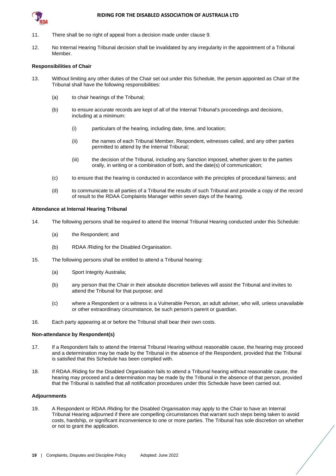

- 11. There shall be no right of appeal from a decision made under clause 9.
- 12. No Internal Hearing Tribunal decision shall be invalidated by any irregularity in the appointment of a Tribunal Member.

#### **Responsibilities of Chair**

- 13. Without limiting any other duties of the Chair set out under this Schedule, the person appointed as Chair of the Tribunal shall have the following responsibilities:
	- (a) to chair hearings of the Tribunal;
	- (b) to ensure accurate records are kept of all of the Internal Tribunal's proceedings and decisions, including at a minimum:
		- (i) particulars of the hearing, including date, time, and location;
		- (ii) the names of each Tribunal Member, Respondent, witnesses called, and any other parties permitted to attend by the Internal Tribunal;
		- (iii) the decision of the Tribunal, including any Sanction imposed, whether given to the parties orally, in writing or a combination of both, and the date(s) of communication;
	- (c) to ensure that the hearing is conducted in accordance with the principles of procedural fairness; and
	- (d) to communicate to all parties of a Tribunal the results of such Tribunal and provide a copy of the record of result to the RDAA Complaints Manager within seven days of the hearing.

#### **Attendance at Internal Hearing Tribunal**

- 14. The following persons shall be required to attend the Internal Tribunal Hearing conducted under this Schedule:
	- (a) the Respondent; and
	- (b) RDAA /Riding for the Disabled Organisation.
- 15. The following persons shall be entitled to attend a Tribunal hearing:
	- (a) Sport Integrity Australia;
	- (b) any person that the Chair in their absolute discretion believes will assist the Tribunal and invites to attend the Tribunal for that purpose; and
	- (c) where a Respondent or a witness is a Vulnerable Person, an adult adviser, who will, unless unavailable or other extraordinary circumstance, be such person's parent or guardian.
- 16. Each party appearing at or before the Tribunal shall bear their own costs.

#### **Non-attendance by Respondent(s)**

- 17. If a Respondent fails to attend the Internal Tribunal Hearing without reasonable cause, the hearing may proceed and a determination may be made by the Tribunal in the absence of the Respondent, provided that the Tribunal is satisfied that this Schedule has been complied with.
- 18. If RDAA /Riding for the Disabled Organisation fails to attend a Tribunal hearing without reasonable cause, the hearing may proceed and a determination may be made by the Tribunal in the absence of that person, provided that the Tribunal is satisfied that all notification procedures under this Schedule have been carried out.

#### **Adjournments**

19. A Respondent or RDAA /Riding for the Disabled Organisation may apply to the Chair to have an Internal Tribunal Hearing adjourned if there are compelling circumstances that warrant such steps being taken to avoid costs, hardship, or significant inconvenience to one or more parties. The Tribunal has sole discretion on whether or not to grant the application.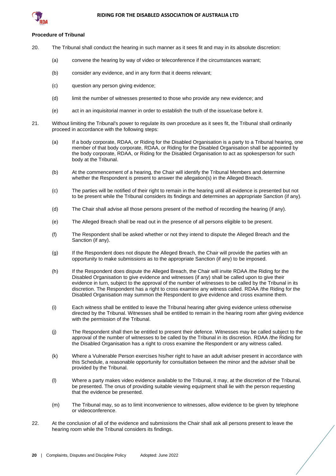

## **Procedure of Tribunal**

- 20. The Tribunal shall conduct the hearing in such manner as it sees fit and may in its absolute discretion:
	- (a) convene the hearing by way of video or teleconference if the circumstances warrant;
	- (b) consider any evidence, and in any form that it deems relevant;
	- (c) question any person giving evidence;
	- (d) limit the number of witnesses presented to those who provide any new evidence; and
	- (e) act in an inquisitorial manner in order to establish the truth of the issue/case before it.
- 21. Without limiting the Tribunal's power to regulate its own procedure as it sees fit, the Tribunal shall ordinarily proceed in accordance with the following steps:
	- (a) If a body corporate, RDAA, or Riding for the Disabled Organisation is a party to a Tribunal hearing, one member of that body corporate, RDAA, or Riding for the Disabled Organisation shall be appointed by the body corporate, RDAA, or Riding for the Disabled Organisation to act as spokesperson for such body at the Tribunal.
	- (b) At the commencement of a hearing, the Chair will identify the Tribunal Members and determine whether the Respondent is present to answer the allegation(s) in the Alleged Breach.
	- (c) The parties will be notified of their right to remain in the hearing until all evidence is presented but not to be present while the Tribunal considers its findings and determines an appropriate Sanction (if any).
	- (d) The Chair shall advise all those persons present of the method of recording the hearing (if any).
	- (e) The Alleged Breach shall be read out in the presence of all persons eligible to be present.
	- (f) The Respondent shall be asked whether or not they intend to dispute the Alleged Breach and the Sanction (if any).
	- (g) If the Respondent does not dispute the Alleged Breach, the Chair will provide the parties with an opportunity to make submissions as to the appropriate Sanction (if any) to be imposed.
	- (h) If the Respondent does dispute the Alleged Breach, the Chair will invite RDAA /the Riding for the Disabled Organisation to give evidence and witnesses (if any) shall be called upon to give their evidence in turn, subject to the approval of the number of witnesses to be called by the Tribunal in its discretion. The Respondent has a right to cross examine any witness called. RDAA /the Riding for the Disabled Organisation may summon the Respondent to give evidence and cross examine them.
	- (i) Each witness shall be entitled to leave the Tribunal hearing after giving evidence unless otherwise directed by the Tribunal. Witnesses shall be entitled to remain in the hearing room after giving evidence with the permission of the Tribunal.
	- (j) The Respondent shall then be entitled to present their defence. Witnesses may be called subject to the approval of the number of witnesses to be called by the Tribunal in its discretion. RDAA /the Riding for the Disabled Organisation has a right to cross examine the Respondent or any witness called.
	- (k) Where a Vulnerable Person exercises his/her right to have an adult adviser present in accordance with this Schedule, a reasonable opportunity for consultation between the minor and the adviser shall be provided by the Tribunal.
	- (l) Where a party makes video evidence available to the Tribunal, it may, at the discretion of the Tribunal, be presented. The onus of providing suitable viewing equipment shall lie with the person requesting that the evidence be presented.
	- (m) The Tribunal may, so as to limit inconvenience to witnesses, allow evidence to be given by telephone or videoconference.
- 22. At the conclusion of all of the evidence and submissions the Chair shall ask all persons present to leave the hearing room while the Tribunal considers its findings.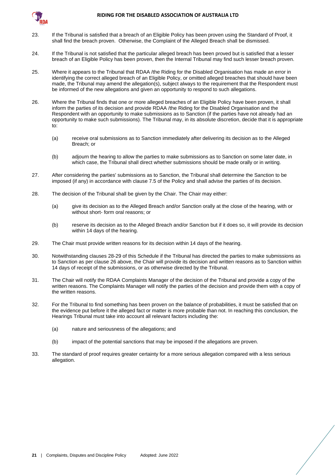

- 23. If the Tribunal is satisfied that a breach of an Eligible Policy has been proven using the Standard of Proof, it shall find the breach proven. Otherwise, the Complaint of the Alleged Breach shall be dismissed.
- 24. If the Tribunal is not satisfied that the particular alleged breach has been proved but is satisfied that a lesser breach of an Eligible Policy has been proven, then the Internal Tribunal may find such lesser breach proven.
- 25. Where it appears to the Tribunal that RDAA /the Riding for the Disabled Organisation has made an error in identifying the correct alleged breach of an Eligible Policy, or omitted alleged breaches that should have been made, the Tribunal may amend the allegation(s), subject always to the requirement that the Respondent must be informed of the new allegations and given an opportunity to respond to such allegations.
- <span id="page-23-2"></span>26. Where the Tribunal finds that one or more alleged breaches of an Eligible Policy have been proven, it shall inform the parties of its decision and provide RDAA /the Riding for the Disabled Organisation and the Respondent with an opportunity to make submissions as to Sanction (if the parties have not already had an opportunity to make such submissions). The Tribunal may, in its absolute discretion, decide that it is appropriate to:
	- (a) receive oral submissions as to Sanction immediately after delivering its decision as to the Alleged Breach; or
	- (b) adjourn the hearing to allow the parties to make submissions as to Sanction on some later date, in which case, the Tribunal shall direct whether submissions should be made orally or in writing.
- 27. After considering the parties' submissions as to Sanction, the Tribunal shall determine the Sanction to be imposed (if any) in accordance with clause [7.5](#page-14-1) of the Policy and shall advise the parties of its decision.
- <span id="page-23-0"></span>28. The decision of the Tribunal shall be given by the Chair. The Chair may either:
	- (a) give its decision as to the Alleged Breach and/or Sanction orally at the close of the hearing, with or without short- form oral reasons; or
	- (b) reserve its decision as to the Alleged Breach and/or Sanction but if it does so, it will provide its decision within 14 days of the hearing.
- <span id="page-23-1"></span>29. The Chair must provide written reasons for its decision within 14 days of the hearing.
- 30. Notwithstanding clause[s 28](#page-23-0)[-29](#page-23-1) of this Schedule if the Tribunal has directed the parties to make submissions as to Sanction as per claus[e 26](#page-23-2) above, the Chair will provide its decision and written reasons as to Sanction within 14 days of receipt of the submissions, or as otherwise directed by the Tribunal.
- 31. The Chair will notify the RDAA Complaints Manager of the decision of the Tribunal and provide a copy of the written reasons. The Complaints Manager will notify the parties of the decision and provide them with a copy of the written reasons.
- 32. For the Tribunal to find something has been proven on the balance of probabilities, it must be satisfied that on the evidence put before it the alleged fact or matter is more probable than not. In reaching this conclusion, the Hearings Tribunal must take into account all relevant factors including the:
	- (a) nature and seriousness of the allegations; and
	- (b) impact of the potential sanctions that may be imposed if the allegations are proven.
- 33. The standard of proof requires greater certainty for a more serious allegation compared with a less serious allegation.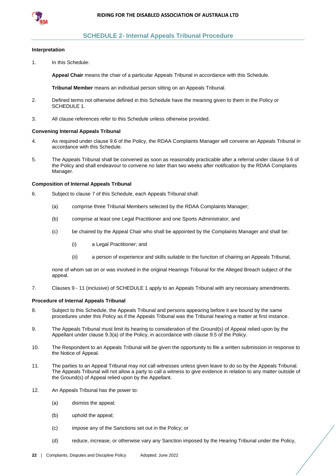

## **SCHEDULE 2- Internal Appeals Tribunal Procedure**

#### <span id="page-24-0"></span>**Interpretation**

1. In this Schedule:

**Appeal Chair** means the chair of a particular Appeals Tribunal in accordance with this Schedule.

**Tribunal Member** means an individual person sitting on an Appeals Tribunal.

- 2. Defined terms not otherwise defined in this Schedule have the meaning given to them in the Policy or [SCHEDULE 1.](#page-20-0)
- 3. All clause references refer to this Schedule unless otherwise provided.

#### **Convening Internal Appeals Tribunal**

- 4. As required under claus[e 9.6](#page-17-1) of the Policy, the RDAA Complaints Manager will convene an Appeals Tribunal in accordance with this Schedule.
- 5. The Appeals Tribunal shall be convened as soon as reasonably practicable after a referral under clause [9.6](#page-17-1) of the Policy and shall endeavour to convene no later than two weeks after notification by the RDAA Complaints Manager.

#### **Composition of Internal Appeals Tribunal**

- 6. Subject to clause [7](#page-24-1) of this Schedule, each Appeals Tribunal shall:
	- (a) comprise three Tribunal Members selected by the RDAA Complaints Manager;
	- (b) comprise at least one Legal Practitioner and one Sports Administrator; and
	- (c) be chaired by the Appeal Chair who shall be appointed by the Complaints Manager and shall be:
		- (i) a Legal Practitioner; and
		- (ii) a person of experience and skills suitable to the function of chairing an Appeals Tribunal,

none of whom sat on or was involved in the original Hearings Tribunal for the Alleged Breach subject of the appeal.

<span id="page-24-1"></span>7. Clauses 9 - 11 (inclusive) o[f SCHEDULE 1](#page-20-0) apply to an Appeals Tribunal with any necessary amendments.

#### **Procedure of Internal Appeals Tribunal**

- 8. Subject to this Schedule, the Appeals Tribunal and persons appearing before it are bound by the same procedures under this Policy as if the Appeals Tribunal was the Tribunal hearing a matter at first instance.
- 9. The Appeals Tribunal must limit its hearing to consideration of the Ground(s) of Appeal relied upon by the Appellant under clause [9.3\(a\)](#page-16-7) of the Policy, in accordance with clause [9.5](#page-17-0) of the Policy.
- 10. The Respondent to an Appeals Tribunal will be given the opportunity to file a written submission in response to the Notice of Appeal.
- 11. The parties to an Appeal Tribunal may not call witnesses unless given leave to do so by the Appeals Tribunal. The Appeals Tribunal will not allow a party to call a witness to give evidence in relation to any matter outside of the Ground(s) of Appeal relied upon by the Appellant.
- 12. An Appeals Tribunal has the power to:
	- (a) dismiss the appeal;
	- (b) uphold the appeal;
	- (c) impose any of the Sanctions set out in the Policy; or
	- (d) reduce, increase, or otherwise vary any Sanction imposed by the Hearing Tribunal under the Policy,